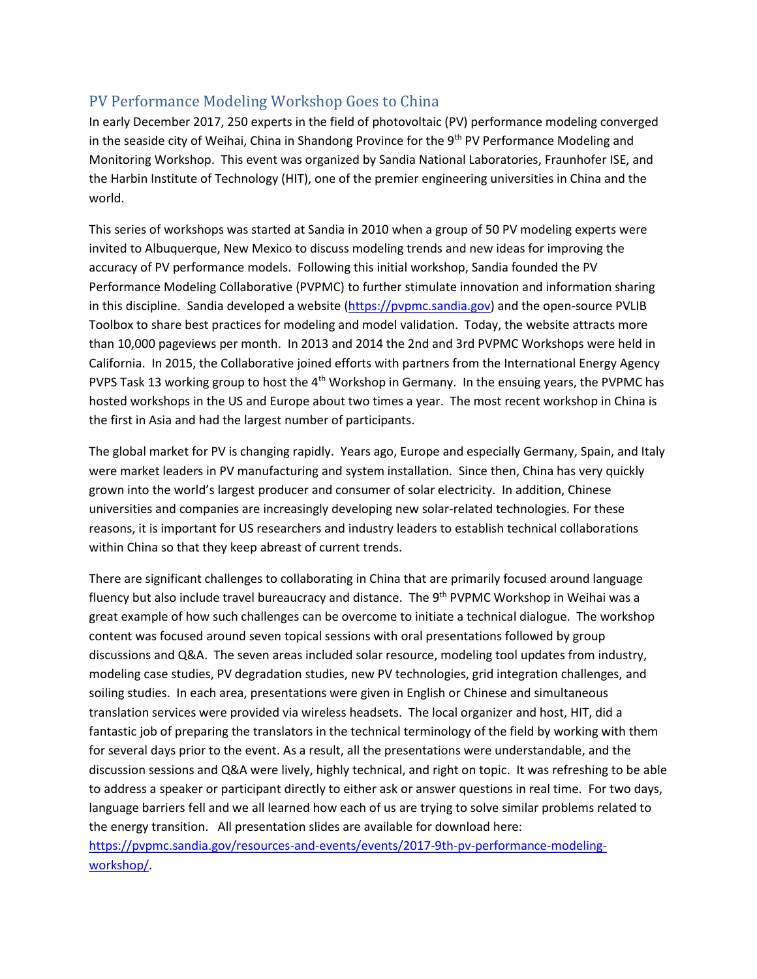## PV Performance Modeling Workshop Goes to China

In early December 2017, 250 experts in the field of photovoltaic (PV) performance modeling converged in the seaside city of Weihai, China in Shandong Province for the  $9<sup>th</sup>$  PV Performance Modeling and Monitoring Workshop. This event was organized by Sandia National Laboratories, Fraunhofer ISE, and the Harbin Institute of Technology (HIT), one of the premier engineering universities in China and the world.

This series of workshops was started at Sandia in 2010 when a group of 50 PV modeling experts were invited to Albuquerque, New Mexico to discuss modeling trends and new ideas for improving the accuracy of PV performance models. Following this initial workshop, Sandia founded the PV Performance Modeling Collaborative (PVPMC) to further stimulate innovation and information sharing in this discipline. Sandia developed a website [\(https://pvpmc.sandia.gov\)](https://pvpmc.sandia.gov/) and the open-source PVLIB Toolbox to share best practices for modeling and model validation. Today, the website attracts more than 10,000 pageviews per month. In 2013 and 2014 the 2nd and 3rd PVPMC Workshops were held in California. In 2015, the Collaborative joined efforts with partners from the International Energy Agency PVPS Task 13 working group to host the  $4<sup>th</sup>$  Workshop in Germany. In the ensuing years, the PVPMC has hosted workshops in the US and Europe about two times a year. The most recent workshop in China is the first in Asia and had the largest number of participants.

The global market for PV is changing rapidly. Years ago, Europe and especially Germany, Spain, and Italy were market leaders in PV manufacturing and system installation. Since then, China has very quickly grown into the world's largest producer and consumer of solar electricity. In addition, Chinese universities and companies are increasingly developing new solar-related technologies. For these reasons, it is important for US researchers and industry leaders to establish technical collaborations within China so that they keep abreast of current trends.

There are significant challenges to collaborating in China that are primarily focused around language fluency but also include travel bureaucracy and distance. The 9<sup>th</sup> PVPMC Workshop in Weihai was a great example of how such challenges can be overcome to initiate a technical dialogue. The workshop content was focused around seven topical sessions with oral presentations followed by group discussions and Q&A. The seven areas included solar resource, modeling tool updates from industry, modeling case studies, PV degradation studies, new PV technologies, grid integration challenges, and soiling studies. In each area, presentations were given in English or Chinese and simultaneous translation services were provided via wireless headsets. The local organizer and host, HIT, did a fantastic job of preparing the translators in the technical terminology of the field by working with them for several days prior to the event. As a result, all the presentations were understandable, and the discussion sessions and Q&A were lively, highly technical, and right on topic. It was refreshing to be able to address a speaker or participant directly to either ask or answer questions in real time. For two days, language barriers fell and we all learned how each of us are trying to solve similar problems related to the energy transition. All presentation slides are available for download here: [https://pvpmc.sandia.gov/resources-and-events/events/2017-9th-pv-performance-modeling](https://pvpmc.sandia.gov/resources-and-events/events/2017-9th-pv-performance-modeling-workshop/)[workshop/.](https://pvpmc.sandia.gov/resources-and-events/events/2017-9th-pv-performance-modeling-workshop/)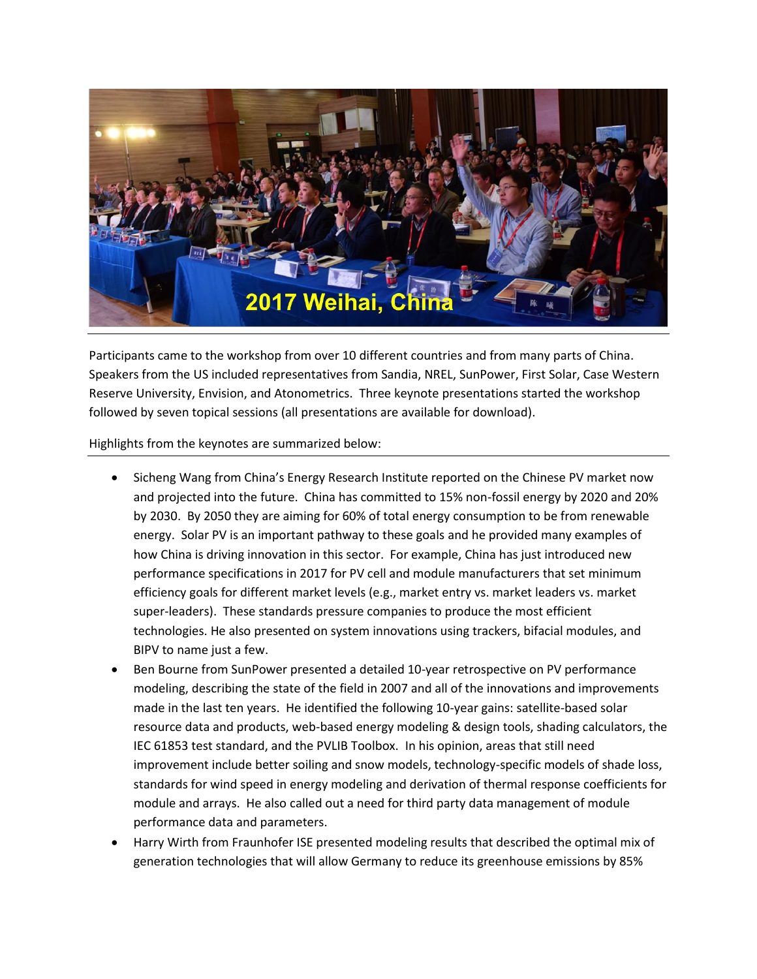

Participants came to the workshop from over 10 different countries and from many parts of China. Speakers from the US included representatives from Sandia, NREL, SunPower, First Solar, Case Western Reserve University, Envision, and Atonometrics. Three keynote presentations started the workshop followed by seven topical sessions (all presentations are available for download).

Highlights from the keynotes are summarized below:

- Sicheng Wang from China's Energy Research Institute reported on the Chinese PV market now and projected into the future. China has committed to 15% non-fossil energy by 2020 and 20% by 2030. By 2050 they are aiming for 60% of total energy consumption to be from renewable energy. Solar PV is an important pathway to these goals and he provided many examples of how China is driving innovation in this sector. For example, China has just introduced new performance specifications in 2017 for PV cell and module manufacturers that set minimum efficiency goals for different market levels (e.g., market entry vs. market leaders vs. market super-leaders). These standards pressure companies to produce the most efficient technologies. He also presented on system innovations using trackers, bifacial modules, and BIPV to name just a few.
- Ben Bourne from SunPower presented a detailed 10-year retrospective on PV performance modeling, describing the state of the field in 2007 and all of the innovations and improvements made in the last ten years. He identified the following 10-year gains: satellite-based solar resource data and products, web-based energy modeling & design tools, shading calculators, the IEC 61853 test standard, and the PVLIB Toolbox. In his opinion, areas that still need improvement include better soiling and snow models, technology-specific models of shade loss, standards for wind speed in energy modeling and derivation of thermal response coefficients for module and arrays. He also called out a need for third party data management of module performance data and parameters.
- Harry Wirth from Fraunhofer ISE presented modeling results that described the optimal mix of generation technologies that will allow Germany to reduce its greenhouse emissions by 85%